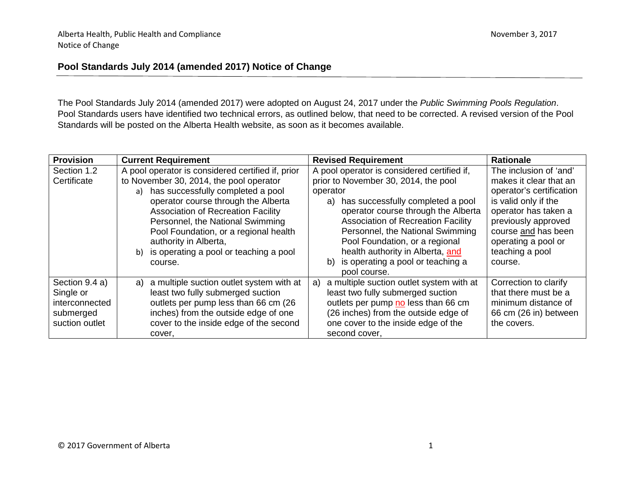### **Pool Standards July 2014 (amended 2017) Notice of Change**

The Pool Standards July 2014 (amended 2017) were adopted on August 24, 2017 under the *Public Swimming Pools Regulation*. Pool Standards users have identified two technical errors, as outlined below, that need to be corrected. A revised version of the Pool Standards will be posted on the Alberta Health website, as soon as it becomes available.

| <b>Provision</b> | <b>Current Requirement</b>                        | <b>Revised Requirement</b>                     | <b>Rationale</b>         |
|------------------|---------------------------------------------------|------------------------------------------------|--------------------------|
| Section 1.2      | A pool operator is considered certified if, prior | A pool operator is considered certified if,    | The inclusion of 'and'   |
| Certificate      | to November 30, 2014, the pool operator           | prior to November 30, 2014, the pool           | makes it clear that an   |
|                  | has successfully completed a pool<br>a)           | operator                                       | operator's certification |
|                  | operator course through the Alberta               | has successfully completed a pool<br>a)        | is valid only if the     |
|                  | <b>Association of Recreation Facility</b>         | operator course through the Alberta            | operator has taken a     |
|                  | Personnel, the National Swimming                  | <b>Association of Recreation Facility</b>      | previously approved      |
|                  | Pool Foundation, or a regional health             | Personnel, the National Swimming               | course and has been      |
|                  | authority in Alberta,                             | Pool Foundation, or a regional                 | operating a pool or      |
|                  | is operating a pool or teaching a pool<br>b)      | health authority in Alberta, and               | teaching a pool          |
|                  | course.                                           | is operating a pool or teaching a<br>b)        | course.                  |
|                  |                                                   | pool course.                                   |                          |
| Section 9.4 a)   | a multiple suction outlet system with at<br>a)    | a multiple suction outlet system with at<br>a) | Correction to clarify    |
| Single or        | least two fully submerged suction                 | least two fully submerged suction              | that there must be a     |
| interconnected   | outlets per pump less than 66 cm (26              | outlets per pump no less than 66 cm            | minimum distance of      |
| submerged        | inches) from the outside edge of one              | (26 inches) from the outside edge of           | 66 cm (26 in) between    |
| suction outlet   | cover to the inside edge of the second            | one cover to the inside edge of the            | the covers.              |
|                  | cover,                                            | second cover,                                  |                          |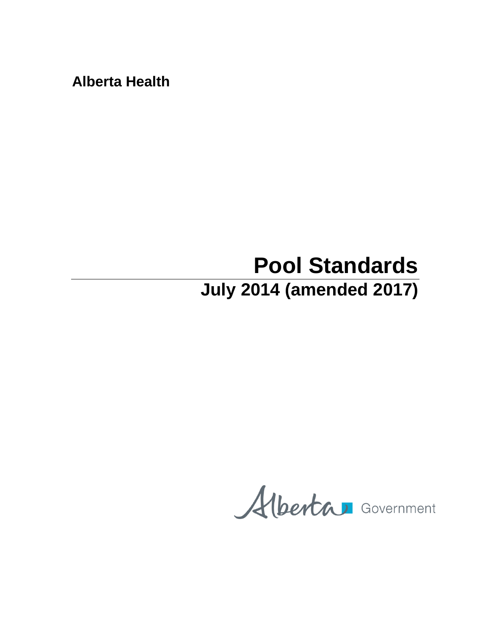**Alberta Health**

# **Pool Standards July 2014 (amended 2017)**

Alberta Government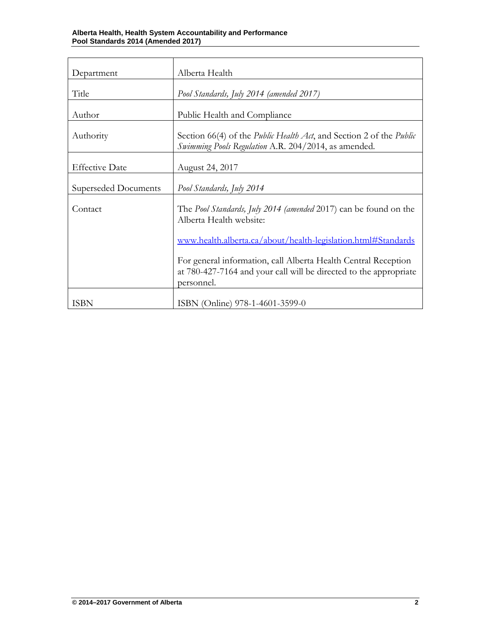| Department            | Alberta Health                                                                                                                                    |  |
|-----------------------|---------------------------------------------------------------------------------------------------------------------------------------------------|--|
| Title                 | Pool Standards, July 2014 (amended 2017)                                                                                                          |  |
| Author                | Public Health and Compliance                                                                                                                      |  |
| Authority             | Section 66(4) of the <i>Public Health Act</i> , and Section 2 of the <i>Public</i><br>Swimming Pools Regulation A.R. 204/2014, as amended.        |  |
| <b>Effective Date</b> | August 24, 2017                                                                                                                                   |  |
| Superseded Documents  | Pool Standards, July 2014                                                                                                                         |  |
| Contact               | The <i>Pool Standards, July 2014 (amended 2017)</i> can be found on the<br>Alberta Health website:                                                |  |
|                       | www.health.alberta.ca/about/health-legislation.html#Standards                                                                                     |  |
|                       | For general information, call Alberta Health Central Reception<br>at 780-427-7164 and your call will be directed to the appropriate<br>personnel. |  |
| <b>ISBN</b>           | ISBN (Online) 978-1-4601-3599-0                                                                                                                   |  |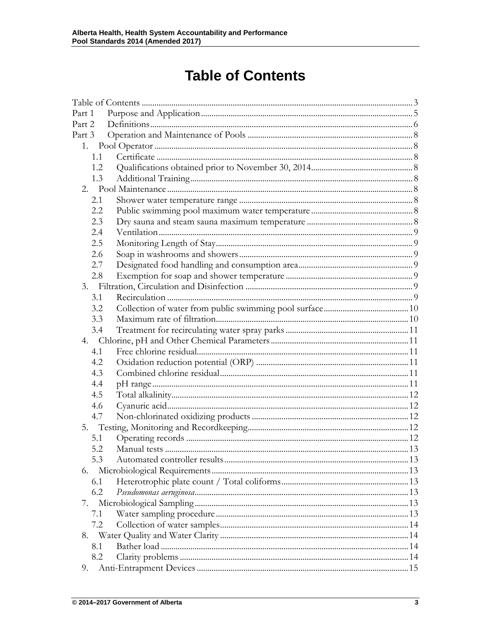## **Table of Contents**

<span id="page-3-0"></span>

| Part 1 |  |
|--------|--|
| Part 2 |  |
| Part 3 |  |
| 1.     |  |
| 1.1    |  |
| 1.2    |  |
| 1.3    |  |
|        |  |
| 2.1    |  |
| 2.2    |  |
| 2.3    |  |
| 2.4    |  |
| 2.5    |  |
| 2.6    |  |
| 2.7    |  |
| 2.8    |  |
|        |  |
| 3.1    |  |
| 3.2    |  |
| 3.3    |  |
| 3.4    |  |
|        |  |
| 4.1    |  |
| 4.2    |  |
| 4.3    |  |
| 4.4    |  |
| 4.5    |  |
| 4.6    |  |
| 4.7    |  |
|        |  |
| 5.1    |  |
| 5.2    |  |
| 5.3    |  |
| 6.     |  |
| 6.1    |  |
| 6.2    |  |
| 7.     |  |
| 7.1    |  |
| 7.2    |  |
|        |  |
| 8.1    |  |
| 8.2    |  |
| 9.     |  |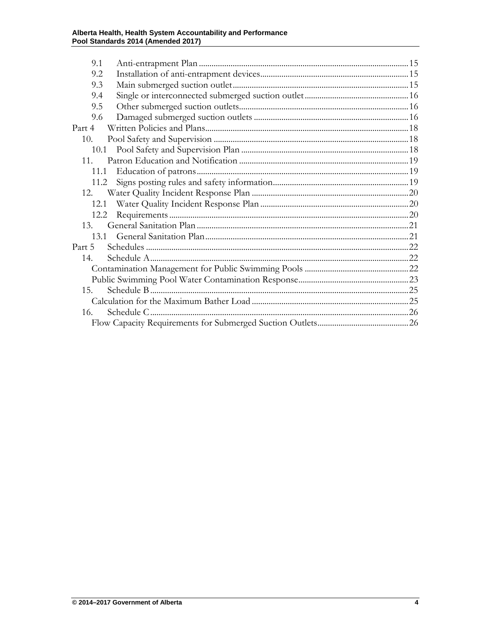## Alberta Health, Health System Accountability and Performance<br>Pool Standards 2014 (Amended 2017)

| 9.1    |  |
|--------|--|
| 9.2    |  |
|        |  |
| 9.3    |  |
| 9.4    |  |
| 9.5    |  |
| 9.6    |  |
| Part 4 |  |
| 10.    |  |
| 10.1   |  |
| 11     |  |
| 11.1   |  |
| 11.2   |  |
| 12.    |  |
| 12.1   |  |
| 12.2   |  |
| 13.    |  |
|        |  |
| Part 5 |  |
| 14.    |  |
|        |  |
|        |  |
| 15.    |  |
|        |  |
| 16.    |  |
|        |  |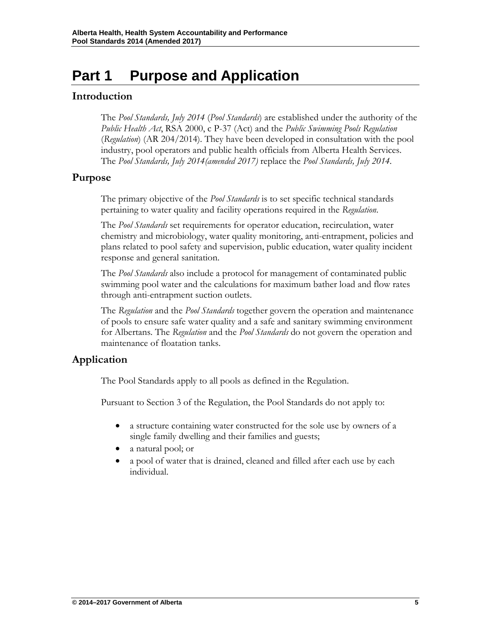## <span id="page-5-0"></span>**Part 1 Purpose and Application**

### **Introduction**

The *Pool Standards, July 2014* (*Pool Standards*) are established under the authority of the *Public Health Act*, RSA 2000, c P-37 (Act) and the *Public Swimming Pools Regulation* (*Regulation*) (AR 204/2014). They have been developed in consultation with the pool industry, pool operators and public health officials from Alberta Health Services. The *Pool Standards, July 2014(amended 2017)* replace the *Pool Standards, July 2014*.

### **Purpose**

The primary objective of the *Pool Standards* is to set specific technical standards pertaining to water quality and facility operations required in the *Regulation*.

The *Pool Standards* set requirements for operator education, recirculation, water chemistry and microbiology, water quality monitoring, anti-entrapment, policies and plans related to pool safety and supervision, public education, water quality incident response and general sanitation.

The *Pool Standards* also include a protocol for management of contaminated public swimming pool water and the calculations for maximum bather load and flow rates through anti-entrapment suction outlets.

The *Regulation* and the *Pool Standards* together govern the operation and maintenance of pools to ensure safe water quality and a safe and sanitary swimming environment for Albertans. The *Regulation* and the *Pool Standards* do not govern the operation and maintenance of floatation tanks.

### **Application**

The Pool Standards apply to all pools as defined in the Regulation.

Pursuant to Section 3 of the Regulation, the Pool Standards do not apply to:

- a structure containing water constructed for the sole use by owners of a single family dwelling and their families and guests;
- a natural pool; or
- a pool of water that is drained, cleaned and filled after each use by each individual.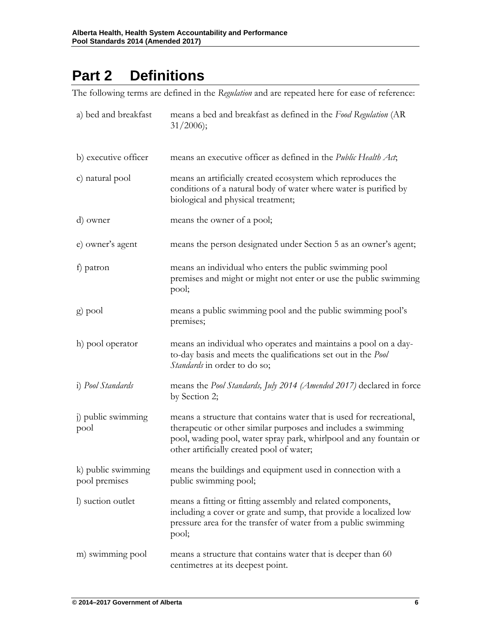## <span id="page-6-0"></span>**Part 2 Definitions**

The following terms are defined in the *Regulation* and are repeated here for ease of reference:

| a) bed and breakfast                | means a bed and breakfast as defined in the Food Regulation (AR<br>$31/2006$ ;                                                                                                                                                                           |
|-------------------------------------|----------------------------------------------------------------------------------------------------------------------------------------------------------------------------------------------------------------------------------------------------------|
| b) executive officer                | means an executive officer as defined in the <i>Public Health Act</i> ,                                                                                                                                                                                  |
| c) natural pool                     | means an artificially created ecosystem which reproduces the<br>conditions of a natural body of water where water is purified by<br>biological and physical treatment;                                                                                   |
| d) owner                            | means the owner of a pool;                                                                                                                                                                                                                               |
| e) owner's agent                    | means the person designated under Section 5 as an owner's agent;                                                                                                                                                                                         |
| f) patron                           | means an individual who enters the public swimming pool<br>premises and might or might not enter or use the public swimming<br>pool;                                                                                                                     |
| g) pool                             | means a public swimming pool and the public swimming pool's<br>premises;                                                                                                                                                                                 |
| h) pool operator                    | means an individual who operates and maintains a pool on a day-<br>to-day basis and meets the qualifications set out in the Pool<br>Standards in order to do so;                                                                                         |
| <i>i</i> ) <i>Pool Standards</i>    | means the Pool Standards, July 2014 (Amended 2017) declared in force<br>by Section 2;                                                                                                                                                                    |
| j) public swimming<br>pool          | means a structure that contains water that is used for recreational,<br>therapeutic or other similar purposes and includes a swimming<br>pool, wading pool, water spray park, whirlpool and any fountain or<br>other artificially created pool of water; |
| k) public swimming<br>pool premises | means the buildings and equipment used in connection with a<br>public swimming pool;                                                                                                                                                                     |
| I) suction outlet                   | means a fitting or fitting assembly and related components,<br>including a cover or grate and sump, that provide a localized low<br>pressure area for the transfer of water from a public swimming<br>pool;                                              |
| m) swimming pool                    | means a structure that contains water that is deeper than 60<br>centimetres at its deepest point.                                                                                                                                                        |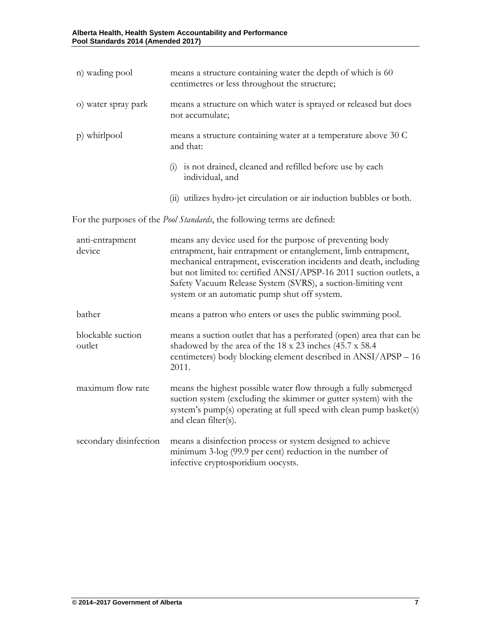| n) wading pool              | means a structure containing water the depth of which is 60<br>centimetres or less throughout the structure;                                                                                                                                                                                                                                                                          |
|-----------------------------|---------------------------------------------------------------------------------------------------------------------------------------------------------------------------------------------------------------------------------------------------------------------------------------------------------------------------------------------------------------------------------------|
| o) water spray park         | means a structure on which water is sprayed or released but does<br>not accumulate;                                                                                                                                                                                                                                                                                                   |
| p) whirlpool                | means a structure containing water at a temperature above 30 C<br>and that:                                                                                                                                                                                                                                                                                                           |
|                             | (i) is not drained, cleaned and refilled before use by each<br>individual, and                                                                                                                                                                                                                                                                                                        |
|                             | (ii) utilizes hydro-jet circulation or air induction bubbles or both.                                                                                                                                                                                                                                                                                                                 |
|                             | For the purposes of the <i>Pool Standards</i> , the following terms are defined:                                                                                                                                                                                                                                                                                                      |
| anti-entrapment<br>device   | means any device used for the purpose of preventing body<br>entrapment, hair entrapment or entanglement, limb entrapment,<br>mechanical entrapment, evisceration incidents and death, including<br>but not limited to: certified ANSI/APSP-16 2011 suction outlets, a<br>Safety Vacuum Release System (SVRS), a suction-limiting vent<br>system or an automatic pump shut off system. |
| bather                      | means a patron who enters or uses the public swimming pool.                                                                                                                                                                                                                                                                                                                           |
| blockable suction<br>outlet | means a suction outlet that has a perforated (open) area that can be<br>shadowed by the area of the 18 x 23 inches (45.7 x 58.4)<br>centimeters) body blocking element described in ANSI/APSP - 16<br>2011.                                                                                                                                                                           |
| maximum flow rate           | means the highest possible water flow through a fully submerged<br>suction system (excluding the skimmer or gutter system) with the<br>system's pump(s) operating at full speed with clean pump basket(s)<br>and clean filter(s).                                                                                                                                                     |
| secondary disinfection      | means a disinfection process or system designed to achieve<br>minimum 3-log (99.9 per cent) reduction in the number of<br>infective cryptosporidium oocysts.                                                                                                                                                                                                                          |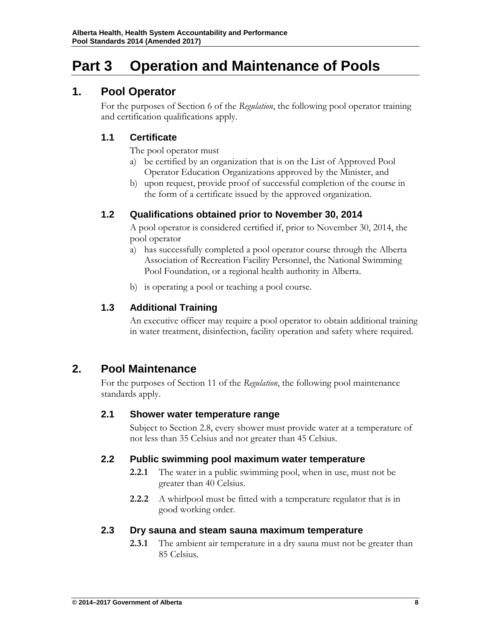## <span id="page-8-0"></span>**Part 3 Operation and Maintenance of Pools**

### <span id="page-8-1"></span>**1. Pool Operator**

For the purposes of Section 6 of the *Regulation*, the following pool operator training and certification qualifications apply.

### <span id="page-8-2"></span>**1.1 Certificate**

The pool operator must

- a) be certified by an organization that is on the List of Approved Pool Operator Education Organizations approved by the Minister, and
- b) upon request, provide proof of successful completion of the course in the form of a certificate issued by the approved organization.

### <span id="page-8-3"></span>**1.2 Qualifications obtained prior to November 30, 2014**

A pool operator is considered certified if, prior to November 30, 2014, the pool operator

- a) has successfully completed a pool operator course through the Alberta Association of Recreation Facility Personnel, the National Swimming Pool Foundation, or a regional health authority in Alberta.
- b) is operating a pool or teaching a pool course.

### <span id="page-8-4"></span>**1.3 Additional Training**

An executive officer may require a pool operator to obtain additional training in water treatment, disinfection, facility operation and safety where required.

### <span id="page-8-5"></span>**2. Pool Maintenance**

For the purposes of Section 11 of the *Regulation*, the following pool maintenance standards apply.

### <span id="page-8-6"></span>**2.1 Shower water temperature range**

Subject to Section 2.8, every shower must provide water at a temperature of not less than 35 Celsius and not greater than 45 Celsius.

### <span id="page-8-7"></span>**2.2 Public swimming pool maximum water temperature**

- **2.2.1** The water in a public swimming pool, when in use, must not be greater than 40 Celsius.
- **2.2.2** A whirlpool must be fitted with a temperature regulator that is in good working order.

### <span id="page-8-8"></span>**2.3 Dry sauna and steam sauna maximum temperature**

**2.3.1** The ambient air temperature in a dry sauna must not be greater than 85 Celsius.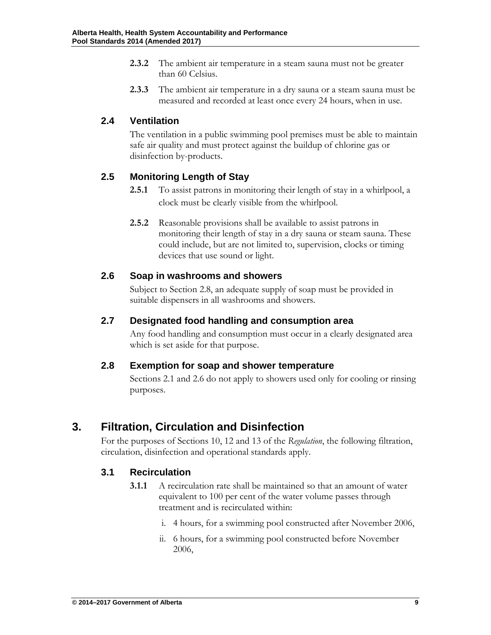- **2.3.2** The ambient air temperature in a steam sauna must not be greater than 60 Celsius.
- **2.3.3** The ambient air temperature in a dry sauna or a steam sauna must be measured and recorded at least once every 24 hours, when in use.

### <span id="page-9-0"></span>**2.4 Ventilation**

The ventilation in a public swimming pool premises must be able to maintain safe air quality and must protect against the buildup of chlorine gas or disinfection by-products.

### <span id="page-9-1"></span>**2.5 Monitoring Length of Stay**

- **2.5.1** To assist patrons in monitoring their length of stay in a whirlpool, a clock must be clearly visible from the whirlpool.
- **2.5.2** Reasonable provisions shall be available to assist patrons in monitoring their length of stay in a dry sauna or steam sauna. These could include, but are not limited to, supervision, clocks or timing devices that use sound or light.

### <span id="page-9-2"></span>**2.6 Soap in washrooms and showers**

Subject to Section 2.8, an adequate supply of soap must be provided in suitable dispensers in all washrooms and showers.

### <span id="page-9-3"></span>**2.7 Designated food handling and consumption area**

Any food handling and consumption must occur in a clearly designated area which is set aside for that purpose.

### <span id="page-9-4"></span>**2.8 Exemption for soap and shower temperature**

Sections 2.1 and 2.6 do not apply to showers used only for cooling or rinsing purposes.

### <span id="page-9-5"></span>**3. Filtration, Circulation and Disinfection**

For the purposes of Sections 10, 12 and 13 of the *Regulation*, the following filtration, circulation, disinfection and operational standards apply.

### <span id="page-9-6"></span>**3.1 Recirculation**

- **3.1.1** A recirculation rate shall be maintained so that an amount of water equivalent to 100 per cent of the water volume passes through treatment and is recirculated within:
	- i. 4 hours, for a swimming pool constructed after November 2006,
	- ii. 6 hours, for a swimming pool constructed before November 2006,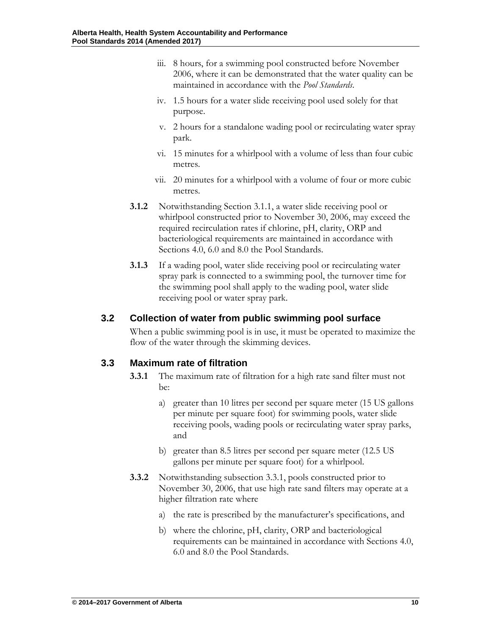- iii. 8 hours, for a swimming pool constructed before November 2006, where it can be demonstrated that the water quality can be maintained in accordance with the *Pool Standards*.
- iv. 1.5 hours for a water slide receiving pool used solely for that purpose.
- v. 2 hours for a standalone wading pool or recirculating water spray park.
- vi. 15 minutes for a whirlpool with a volume of less than four cubic metres.
- vii. 20 minutes for a whirlpool with a volume of four or more cubic metres.
- **3.1.2** Notwithstanding Section 3.1.1, a water slide receiving pool or whirlpool constructed prior to November 30, 2006, may exceed the required recirculation rates if chlorine, pH, clarity, ORP and bacteriological requirements are maintained in accordance with Sections 4.0, 6.0 and 8.0 the Pool Standards.
- **3.1.3** If a wading pool, water slide receiving pool or recirculating water spray park is connected to a swimming pool, the turnover time for the swimming pool shall apply to the wading pool, water slide receiving pool or water spray park.

### <span id="page-10-0"></span>**3.2 Collection of water from public swimming pool surface**

When a public swimming pool is in use, it must be operated to maximize the flow of the water through the skimming devices.

### <span id="page-10-1"></span>**3.3 Maximum rate of filtration**

- **3.3.1** The maximum rate of filtration for a high rate sand filter must not be:
	- a) greater than 10 litres per second per square meter (15 US gallons per minute per square foot) for swimming pools, water slide receiving pools, wading pools or recirculating water spray parks, and
	- b) greater than 8.5 litres per second per square meter (12.5 US gallons per minute per square foot) for a whirlpool.
- **3.3.2** Notwithstanding subsection 3.3.1, pools constructed prior to November 30, 2006, that use high rate sand filters may operate at a higher filtration rate where
	- a) the rate is prescribed by the manufacturer's specifications, and
	- b) where the chlorine, pH, clarity, ORP and bacteriological requirements can be maintained in accordance with Sections 4.0, 6.0 and 8.0 the Pool Standards.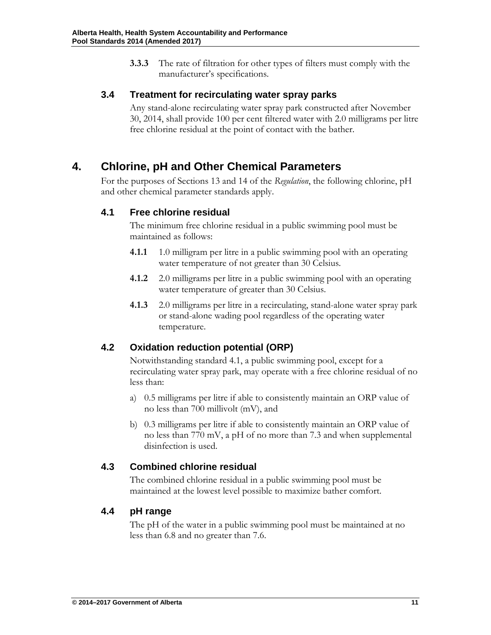**3.3.3** The rate of filtration for other types of filters must comply with the manufacturer's specifications.

### <span id="page-11-0"></span>**3.4 Treatment for recirculating water spray parks**

Any stand-alone recirculating water spray park constructed after November 30, 2014, shall provide 100 per cent filtered water with 2.0 milligrams per litre free chlorine residual at the point of contact with the bather.

### <span id="page-11-1"></span>**4. Chlorine, pH and Other Chemical Parameters**

For the purposes of Sections 13 and 14 of the *Regulation*, the following chlorine, pH and other chemical parameter standards apply.

### <span id="page-11-2"></span>**4.1 Free chlorine residual**

The minimum free chlorine residual in a public swimming pool must be maintained as follows:

- **4.1.1** 1.0 milligram per litre in a public swimming pool with an operating water temperature of not greater than 30 Celsius.
- **4.1.2** 2.0 milligrams per litre in a public swimming pool with an operating water temperature of greater than 30 Celsius.
- **4.1.3** 2.0 milligrams per litre in a recirculating, stand-alone water spray park or stand-alone wading pool regardless of the operating water temperature.

### <span id="page-11-3"></span>**4.2 Oxidation reduction potential (ORP)**

Notwithstanding standard 4.1, a public swimming pool, except for a recirculating water spray park, may operate with a free chlorine residual of no less than:

- a) 0.5 milligrams per litre if able to consistently maintain an ORP value of no less than 700 millivolt (mV), and
- b) 0.3 milligrams per litre if able to consistently maintain an ORP value of no less than 770 mV, a pH of no more than 7.3 and when supplemental disinfection is used.

### <span id="page-11-4"></span>**4.3 Combined chlorine residual**

The combined chlorine residual in a public swimming pool must be maintained at the lowest level possible to maximize bather comfort.

### <span id="page-11-5"></span>**4.4 pH range**

The pH of the water in a public swimming pool must be maintained at no less than 6.8 and no greater than 7.6.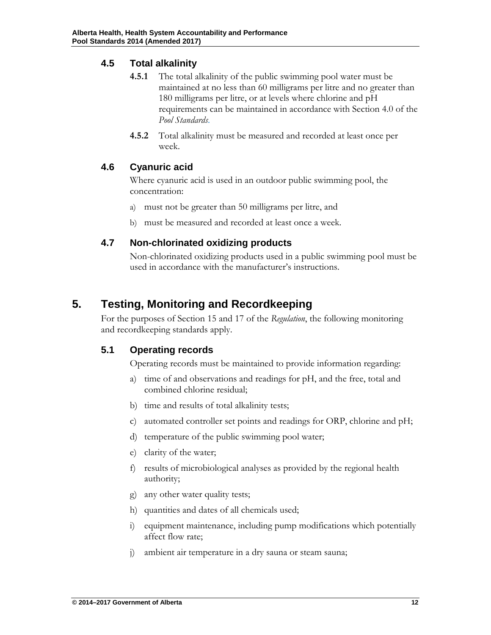### <span id="page-12-0"></span>**4.5 Total alkalinity**

- **4.5.1** The total alkalinity of the public swimming pool water must be maintained at no less than 60 milligrams per litre and no greater than 180 milligrams per litre, or at levels where chlorine and pH requirements can be maintained in accordance with Section 4.0 of the *Pool Standards*.
- **4.5.2** Total alkalinity must be measured and recorded at least once per week.

### <span id="page-12-1"></span>**4.6 Cyanuric acid**

Where cyanuric acid is used in an outdoor public swimming pool, the concentration:

- a) must not be greater than 50 milligrams per litre, and
- b) must be measured and recorded at least once a week.

### <span id="page-12-2"></span>**4.7 Non-chlorinated oxidizing products**

Non-chlorinated oxidizing products used in a public swimming pool must be used in accordance with the manufacturer's instructions.

### <span id="page-12-3"></span>**5. Testing, Monitoring and Recordkeeping**

For the purposes of Section 15 and 17 of the *Regulation*, the following monitoring and recordkeeping standards apply.

### <span id="page-12-4"></span>**5.1 Operating records**

Operating records must be maintained to provide information regarding:

- a) time of and observations and readings for pH, and the free, total and combined chlorine residual;
- b) time and results of total alkalinity tests;
- c) automated controller set points and readings for ORP, chlorine and pH;
- d) temperature of the public swimming pool water;
- e) clarity of the water;
- f) results of microbiological analyses as provided by the regional health authority;
- g) any other water quality tests;
- h) quantities and dates of all chemicals used;
- i) equipment maintenance, including pump modifications which potentially affect flow rate;
- j) ambient air temperature in a dry sauna or steam sauna;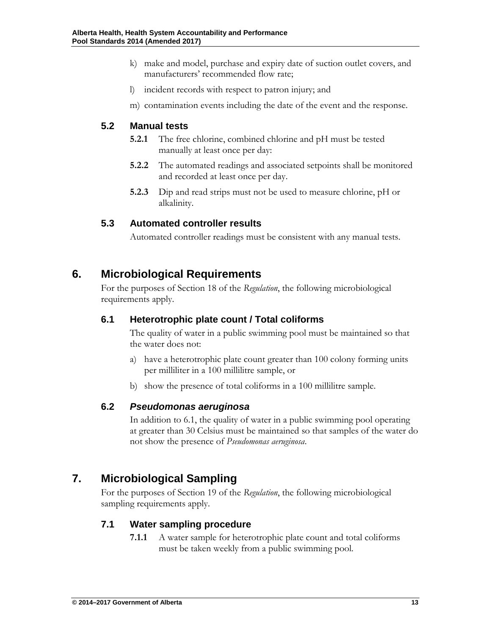- k) make and model, purchase and expiry date of suction outlet covers, and manufacturers' recommended flow rate;
- l) incident records with respect to patron injury; and
- m) contamination events including the date of the event and the response.

### <span id="page-13-0"></span>**5.2 Manual tests**

- **5.2.1** The free chlorine, combined chlorine and pH must be tested manually at least once per day:
- **5.2.2** The automated readings and associated setpoints shall be monitored and recorded at least once per day.
- **5.2.3** Dip and read strips must not be used to measure chlorine, pH or alkalinity.

### <span id="page-13-1"></span>**5.3 Automated controller results**

Automated controller readings must be consistent with any manual tests.

### <span id="page-13-2"></span>**6. Microbiological Requirements**

For the purposes of Section 18 of the *Regulation*, the following microbiological requirements apply.

### <span id="page-13-3"></span>**6.1 Heterotrophic plate count / Total coliforms**

The quality of water in a public swimming pool must be maintained so that the water does not:

- a) have a heterotrophic plate count greater than 100 colony forming units per milliliter in a 100 millilitre sample, or
- b) show the presence of total coliforms in a 100 millilitre sample.

#### <span id="page-13-4"></span>**6.2** *Pseudomonas aeruginosa*

In addition to 6.1, the quality of water in a public swimming pool operating at greater than 30 Celsius must be maintained so that samples of the water do not show the presence of *Pseudomonas aeruginosa*.

### <span id="page-13-5"></span>**7. Microbiological Sampling**

For the purposes of Section 19 of the *Regulation*, the following microbiological sampling requirements apply.

### <span id="page-13-6"></span>**7.1 Water sampling procedure**

**7.1.1** A water sample for heterotrophic plate count and total coliforms must be taken weekly from a public swimming pool.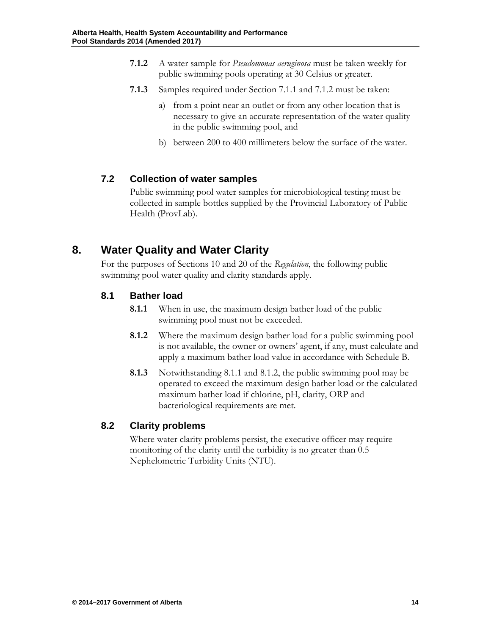- **7.1.2** A water sample for *Pseudomonas aeruginosa* must be taken weekly for public swimming pools operating at 30 Celsius or greater.
- **7.1.3** Samples required under Section 7.1.1 and 7.1.2 must be taken:
	- a) from a point near an outlet or from any other location that is necessary to give an accurate representation of the water quality in the public swimming pool, and
	- b) between 200 to 400 millimeters below the surface of the water.

### <span id="page-14-0"></span>**7.2 Collection of water samples**

Public swimming pool water samples for microbiological testing must be collected in sample bottles supplied by the Provincial Laboratory of Public Health (ProvLab).

### <span id="page-14-1"></span>**8. Water Quality and Water Clarity**

For the purposes of Sections 10 and 20 of the *Regulation*, the following public swimming pool water quality and clarity standards apply.

### <span id="page-14-2"></span>**8.1 Bather load**

- **8.1.1** When in use, the maximum design bather load of the public swimming pool must not be exceeded.
- **8.1.2** Where the maximum design bather load for a public swimming pool is not available, the owner or owners' agent, if any, must calculate and apply a maximum bather load value in accordance with Schedule B.
- **8.1.3** Notwithstanding 8.1.1 and 8.1.2, the public swimming pool may be operated to exceed the maximum design bather load or the calculated maximum bather load if chlorine, pH, clarity, ORP and bacteriological requirements are met.

### <span id="page-14-3"></span>**8.2 Clarity problems**

Where water clarity problems persist, the executive officer may require monitoring of the clarity until the turbidity is no greater than 0.5 Nephelometric Turbidity Units (NTU).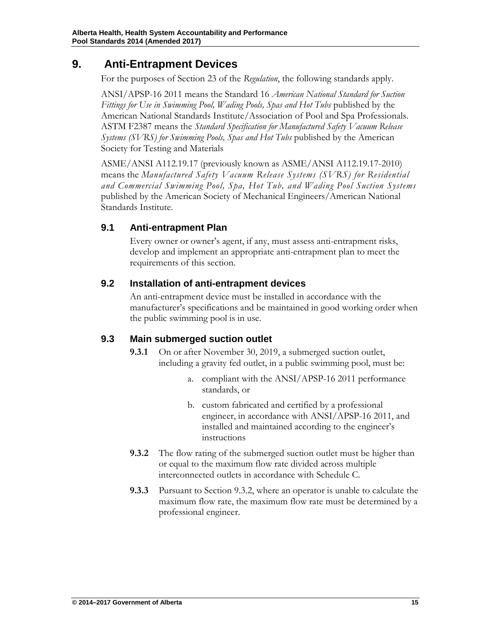### **9. Anti-Entrapment Devices**

<span id="page-15-0"></span>For the purposes of Section 23 of the *Regulation*, the following standards apply.

ANSI/APSP-16 2011 means the Standard 16 *American National Standard for Suction*  Fittings for Use in Swimming Pool, Wading Pools, Spas and Hot Tubs published by the American National Standards Institute/Association of Pool and Spa Professionals. ASTM F2387 means the *Standard Specification for Manufactured Safety Vacuum Release Systems (SVRS) for Swimming Pools, Spas and Hot Tubs* published by the American Society for Testing and Materials

ASME/ANSI A112.19.17 (previously known as ASME/ANSI A112.19.17-2010) means the *Manufactured Safety Vacuum Release Systems (SVRS) for Residential and Commercial Swimming Pool, Spa, Hot Tub, and Wading Pool Suction Systems* published by the American Society of Mechanical Engineers/American National Standards Institute.

### <span id="page-15-1"></span>**9.1 Anti-entrapment Plan**

Every owner or owner's agent, if any, must assess anti-entrapment risks, develop and implement an appropriate anti-entrapment plan to meet the requirements of this section.

### <span id="page-15-2"></span>**9.2 Installation of anti-entrapment devices**

An anti-entrapment device must be installed in accordance with the manufacturer's specifications and be maintained in good working order when the public swimming pool is in use.

### <span id="page-15-3"></span>**9.3 Main submerged suction outlet**

- **9.3.1** On or after November 30, 2019, a submerged suction outlet, including a gravity fed outlet, in a public swimming pool, must be:
	- a. compliant with the ANSI/APSP-16 2011 performance standards, or
	- b. custom fabricated and certified by a professional engineer, in accordance with ANSI/APSP-16 2011, and installed and maintained according to the engineer's instructions
- **9.3.2** The flow rating of the submerged suction outlet must be higher than or equal to the maximum flow rate divided across multiple interconnected outlets in accordance with Schedule C.
- **9.3.3** Pursuant to Section 9.3.2, where an operator is unable to calculate the maximum flow rate, the maximum flow rate must be determined by a professional engineer.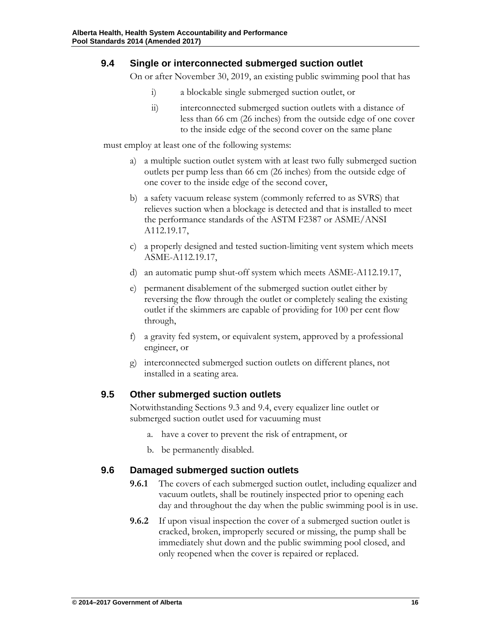#### <span id="page-16-0"></span>**9.4 Single or interconnected submerged suction outlet**

On or after November 30, 2019, an existing public swimming pool that has

- i) a blockable single submerged suction outlet, or
- ii) interconnected submerged suction outlets with a distance of less than 66 cm (26 inches) from the outside edge of one cover to the inside edge of the second cover on the same plane

must employ at least one of the following systems:

- a) a multiple suction outlet system with at least two fully submerged suction outlets per pump less than 66 cm (26 inches) from the outside edge of one cover to the inside edge of the second cover,
- b) a safety vacuum release system (commonly referred to as SVRS) that relieves suction when a blockage is detected and that is installed to meet the performance standards of the ASTM F2387 or ASME/ANSI A112.19.17,
- c) a properly designed and tested suction-limiting vent system which meets ASME-A112.19.17,
- d) an automatic pump shut-off system which meets ASME-A112.19.17,
- e) permanent disablement of the submerged suction outlet either by reversing the flow through the outlet or completely sealing the existing outlet if the skimmers are capable of providing for 100 per cent flow through,
- f) a gravity fed system, or equivalent system, approved by a professional engineer, or
- g) interconnected submerged suction outlets on different planes, not installed in a seating area.

### <span id="page-16-1"></span>**9.5 Other submerged suction outlets**

Notwithstanding Sections 9.3 and 9.4, every equalizer line outlet or submerged suction outlet used for vacuuming must

- a. have a cover to prevent the risk of entrapment, or
- b. be permanently disabled.

### <span id="page-16-2"></span>**9.6 Damaged submerged suction outlets**

- **9.6.1** The covers of each submerged suction outlet, including equalizer and vacuum outlets, shall be routinely inspected prior to opening each day and throughout the day when the public swimming pool is in use.
- **9.6.2** If upon visual inspection the cover of a submerged suction outlet is cracked, broken, improperly secured or missing, the pump shall be immediately shut down and the public swimming pool closed, and only reopened when the cover is repaired or replaced.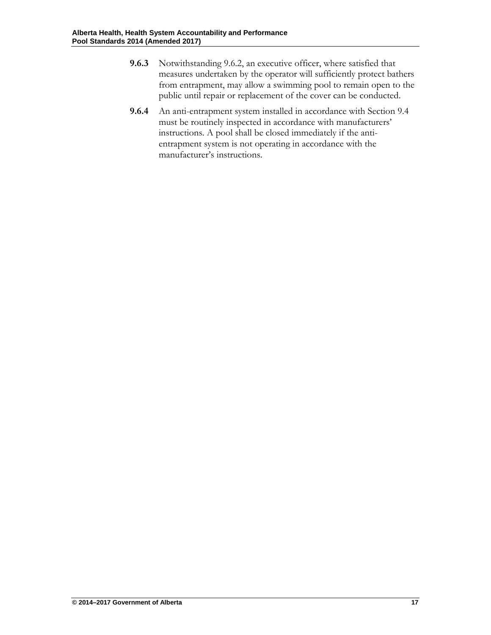- **9.6.3** Notwithstanding 9.6.2, an executive officer, where satisfied that measures undertaken by the operator will sufficiently protect bathers from entrapment, may allow a swimming pool to remain open to the public until repair or replacement of the cover can be conducted.
- **9.6.4** An anti-entrapment system installed in accordance with Section 9.4 must be routinely inspected in accordance with manufacturers' instructions. A pool shall be closed immediately if the antientrapment system is not operating in accordance with the manufacturer's instructions.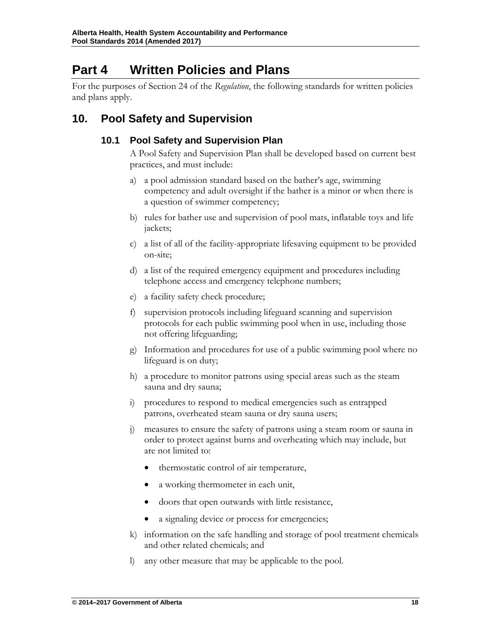### <span id="page-18-0"></span>**Part 4 Written Policies and Plans**

For the purposes of Section 24 of the *Regulation*, the following standards for written policies and plans apply.

### <span id="page-18-2"></span><span id="page-18-1"></span>**10. Pool Safety and Supervision**

### **10.1 Pool Safety and Supervision Plan**

A Pool Safety and Supervision Plan shall be developed based on current best practices, and must include:

- a) a pool admission standard based on the bather's age, swimming competency and adult oversight if the bather is a minor or when there is a question of swimmer competency;
- b) rules for bather use and supervision of pool mats, inflatable toys and life jackets;
- c) a list of all of the facility-appropriate lifesaving equipment to be provided on-site;
- d) a list of the required emergency equipment and procedures including telephone access and emergency telephone numbers;
- e) a facility safety check procedure;
- f) supervision protocols including lifeguard scanning and supervision protocols for each public swimming pool when in use, including those not offering lifeguarding;
- g) Information and procedures for use of a public swimming pool where no lifeguard is on duty;
- h) a procedure to monitor patrons using special areas such as the steam sauna and dry sauna;
- i) procedures to respond to medical emergencies such as entrapped patrons, overheated steam sauna or dry sauna users;
- measures to ensure the safety of patrons using a steam room or sauna in order to protect against burns and overheating which may include, but are not limited to:
	- thermostatic control of air temperature,
	- a working thermometer in each unit,
	- doors that open outwards with little resistance,
	- a signaling device or process for emergencies;
- k) information on the safe handling and storage of pool treatment chemicals and other related chemicals; and
- l) any other measure that may be applicable to the pool.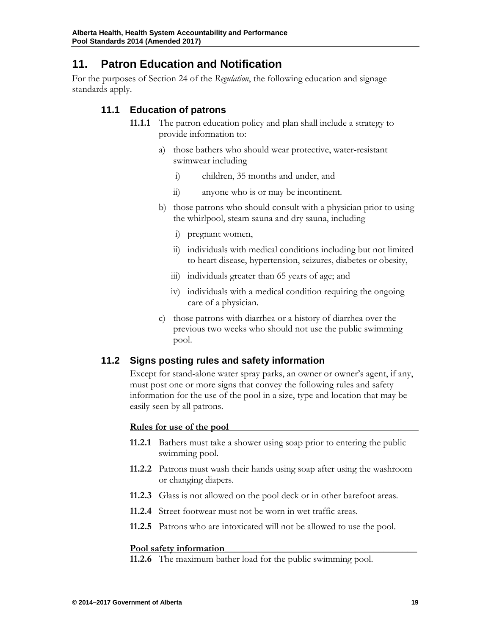### <span id="page-19-0"></span>**11. Patron Education and Notification**

<span id="page-19-1"></span>For the purposes of Section 24 of the *Regulation*, the following education and signage standards apply.

### **11.1 Education of patrons**

- **11.1.1** The patron education policy and plan shall include a strategy to provide information to:
	- a) those bathers who should wear protective, water-resistant swimwear including
		- i) children, 35 months and under, and
		- ii) anyone who is or may be incontinent.
	- b) those patrons who should consult with a physician prior to using the whirlpool, steam sauna and dry sauna, including
		- i) pregnant women,
		- ii) individuals with medical conditions including but not limited to heart disease, hypertension, seizures, diabetes or obesity,
		- iii) individuals greater than 65 years of age; and
		- iv) individuals with a medical condition requiring the ongoing care of a physician.
	- c) those patrons with diarrhea or a history of diarrhea over the previous two weeks who should not use the public swimming pool.

### <span id="page-19-2"></span>**11.2 Signs posting rules and safety information**

Except for stand-alone water spray parks, an owner or owner's agent, if any, must post one or more signs that convey the following rules and safety information for the use of the pool in a size, type and location that may be easily seen by all patrons.

#### **Rules for use of the pool**

- **11.2.1** Bathers must take a shower using soap prior to entering the public swimming pool.
- **11.2.2** Patrons must wash their hands using soap after using the washroom or changing diapers.
- **11.2.3** Glass is not allowed on the pool deck or in other barefoot areas.
- **11.2.4** Street footwear must not be worn in wet traffic areas.
- **11.2.5** Patrons who are intoxicated will not be allowed to use the pool.

#### **Pool safety information\_\_\_\_\_\_\_\_\_\_\_\_\_\_\_\_\_\_\_\_\_\_\_\_\_\_\_\_\_\_\_\_\_\_\_\_\_\_\_\_**

**11.2.6** The maximum bather load for the public swimming pool.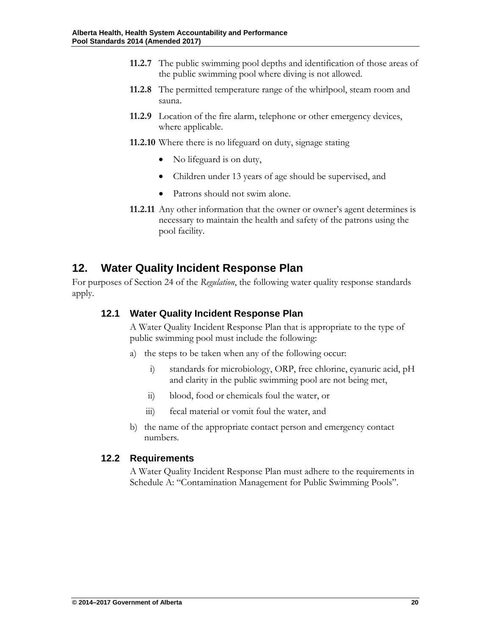- **11.2.7** The public swimming pool depths and identification of those areas of the public swimming pool where diving is not allowed.
- **11.2.8** The permitted temperature range of the whirlpool, steam room and sauna.
- **11.2.9** Location of the fire alarm, telephone or other emergency devices, where applicable.
- **11.2.10** Where there is no lifeguard on duty, signage stating
	- No lifeguard is on duty,
	- Children under 13 years of age should be supervised, and
	- Patrons should not swim alone.
- **11.2.11** Any other information that the owner or owner's agent determines is necessary to maintain the health and safety of the patrons using the pool facility.

### <span id="page-20-0"></span>**12. Water Quality Incident Response Plan**

<span id="page-20-1"></span>For purposes of Section 24 of the *Regulation*, the following water quality response standards apply.

### **12.1 Water Quality Incident Response Plan**

A Water Quality Incident Response Plan that is appropriate to the type of public swimming pool must include the following:

- a) the steps to be taken when any of the following occur:
	- i) standards for microbiology, ORP, free chlorine, cyanuric acid, pH and clarity in the public swimming pool are not being met,
	- ii) blood, food or chemicals foul the water, or
	- iii) fecal material or vomit foul the water, and
- b) the name of the appropriate contact person and emergency contact numbers.

### <span id="page-20-2"></span>**12.2 Requirements**

A Water Quality Incident Response Plan must adhere to the requirements in Schedule A: "Contamination Management for Public Swimming Pools".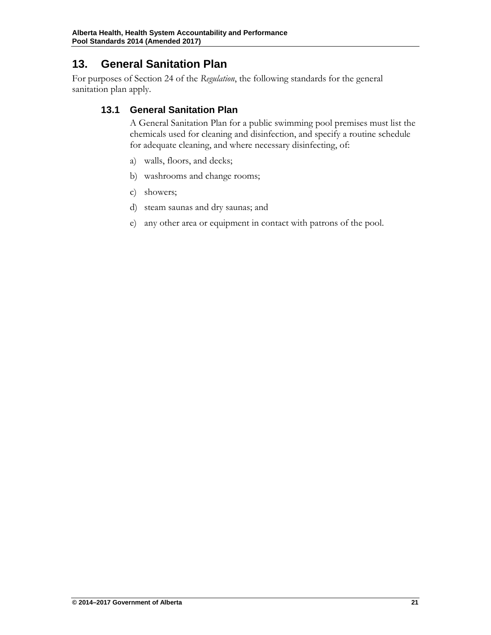### <span id="page-21-0"></span>**13. General Sanitation Plan**

<span id="page-21-1"></span>For purposes of Section 24 of the *Regulation*, the following standards for the general sanitation plan apply.

### **13.1 General Sanitation Plan**

A General Sanitation Plan for a public swimming pool premises must list the chemicals used for cleaning and disinfection, and specify a routine schedule for adequate cleaning, and where necessary disinfecting, of:

- a) walls, floors, and decks;
- b) washrooms and change rooms;
- c) showers;
- d) steam saunas and dry saunas; and
- e) any other area or equipment in contact with patrons of the pool.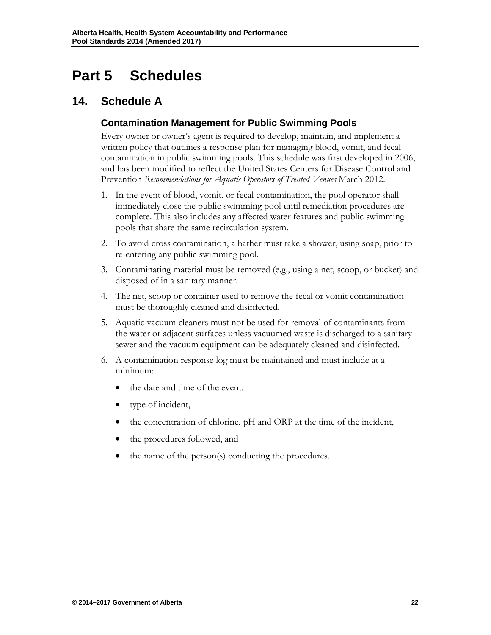## <span id="page-22-0"></span>**Part 5 Schedules**

### <span id="page-22-2"></span><span id="page-22-1"></span>**14. Schedule A**

### **Contamination Management for Public Swimming Pools**

Every owner or owner's agent is required to develop, maintain, and implement a written policy that outlines a response plan for managing blood, vomit, and fecal contamination in public swimming pools. This schedule was first developed in 2006, and has been modified to reflect the United States Centers for Disease Control and Prevention *Recommendations for Aquatic Operators of Treated Venues March 2012.* 

- 1. In the event of blood, vomit, or fecal contamination, the pool operator shall immediately close the public swimming pool until remediation procedures are complete. This also includes any affected water features and public swimming pools that share the same recirculation system.
- 2. To avoid cross contamination, a bather must take a shower, using soap, prior to re-entering any public swimming pool.
- 3. Contaminating material must be removed (e.g., using a net, scoop, or bucket) and disposed of in a sanitary manner.
- 4. The net, scoop or container used to remove the fecal or vomit contamination must be thoroughly cleaned and disinfected.
- 5. Aquatic vacuum cleaners must not be used for removal of contaminants from the water or adjacent surfaces unless vacuumed waste is discharged to a sanitary sewer and the vacuum equipment can be adequately cleaned and disinfected.
- 6. A contamination response log must be maintained and must include at a minimum:
	- the date and time of the event,
	- type of incident,
	- the concentration of chlorine, pH and ORP at the time of the incident,
	- the procedures followed, and
	- the name of the person(s) conducting the procedures.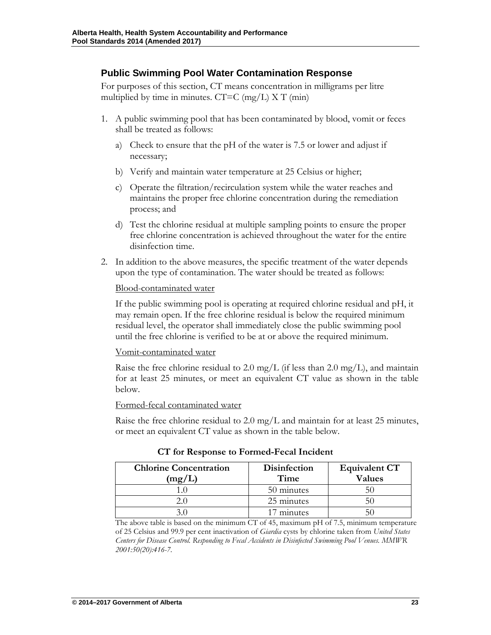### <span id="page-23-0"></span>**Public Swimming Pool Water Contamination Response**

For purposes of this section, CT means concentration in milligrams per litre multiplied by time in minutes.  $CT=C$  (mg/L)  $X T$  (min)

- 1. A public swimming pool that has been contaminated by blood, vomit or feces shall be treated as follows:
	- a) Check to ensure that the pH of the water is 7.5 or lower and adjust if necessary;
	- b) Verify and maintain water temperature at 25 Celsius or higher;
	- c) Operate the filtration/recirculation system while the water reaches and maintains the proper free chlorine concentration during the remediation process; and
	- d) Test the chlorine residual at multiple sampling points to ensure the proper free chlorine concentration is achieved throughout the water for the entire disinfection time.
- 2. In addition to the above measures, the specific treatment of the water depends upon the type of contamination. The water should be treated as follows:

#### Blood-contaminated water

If the public swimming pool is operating at required chlorine residual and pH, it may remain open. If the free chlorine residual is below the required minimum residual level, the operator shall immediately close the public swimming pool until the free chlorine is verified to be at or above the required minimum.

#### Vomit-contaminated water

Raise the free chlorine residual to 2.0 mg/L (if less than 2.0 mg/L), and maintain for at least 25 minutes, or meet an equivalent CT value as shown in the table below.

Formed-fecal contaminated water

Raise the free chlorine residual to 2.0 mg/L and maintain for at least 25 minutes, or meet an equivalent CT value as shown in the table below.

| <b>Chlorine Concentration</b><br>mg/ | <b>Disinfection</b><br>Time | <b>Equivalent CT</b><br>Values |
|--------------------------------------|-----------------------------|--------------------------------|
|                                      | 50 minutes                  |                                |
|                                      | 25 minutes                  |                                |
|                                      | minutes                     |                                |

**CT for Response to Formed-Fecal Incident**

The above table is based on the minimum CT of 45, maximum pH of 7.5, minimum temperature of 25 Celsius and 99.9 per cent inactivation of *Giardia* cysts by chlorine taken from *United States Centers for Disease Control. Responding to Fecal Accidents in Disinfected Swimming Pool Venues. MMWR 2001:50(20):416-7*.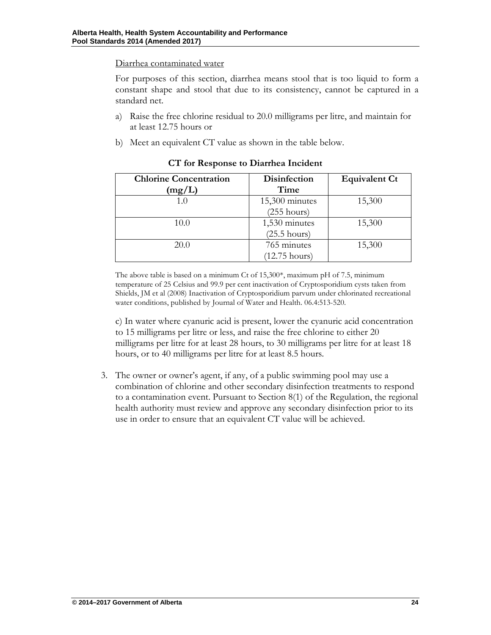Diarrhea contaminated water

For purposes of this section, diarrhea means stool that is too liquid to form a constant shape and stool that due to its consistency, cannot be captured in a standard net.

- a) Raise the free chlorine residual to 20.0 milligrams per litre, and maintain for at least 12.75 hours or
- b) Meet an equivalent CT value as shown in the table below.

| <b>Chlorine Concentration</b><br>(mg/L) | Disinfection<br>Time    | <b>Equivalent Ct</b> |  |
|-----------------------------------------|-------------------------|----------------------|--|
| 1.0                                     | $15,300$ minutes        | 15,300               |  |
|                                         | $(255 \text{ hours})$   |                      |  |
| 10.0                                    | 1,530 minutes           | 15,300               |  |
|                                         | $(25.5 \text{ hours})$  |                      |  |
| 20.0                                    | 765 minutes             | 15,300               |  |
|                                         | $(12.75 \text{ hours})$ |                      |  |

**CT for Response to Diarrhea Incident**

The above table is based on a minimum Ct of 15,300\*, maximum pH of 7.5, minimum temperature of 25 Celsius and 99.9 per cent inactivation of Cryptosporidium cysts taken from Shields, JM et al (2008) Inactivation of Cryptosporidium parvum under chlorinated recreational water conditions, published by Journal of Water and Health. 06.4:513-520.

c) In water where cyanuric acid is present, lower the cyanuric acid concentration to 15 milligrams per litre or less, and raise the free chlorine to either 20 milligrams per litre for at least 28 hours, to 30 milligrams per litre for at least 18 hours, or to 40 milligrams per litre for at least 8.5 hours.

3. The owner or owner's agent, if any, of a public swimming pool may use a combination of chlorine and other secondary disinfection treatments to respond to a contamination event. Pursuant to Section 8(1) of the Regulation, the regional health authority must review and approve any secondary disinfection prior to its use in order to ensure that an equivalent CT value will be achieved.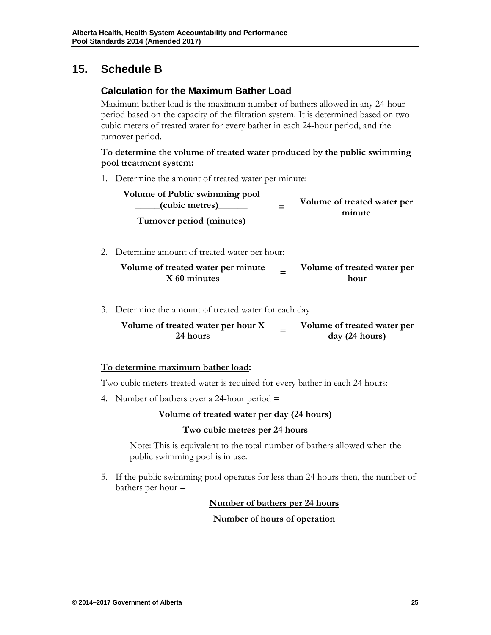### <span id="page-25-1"></span><span id="page-25-0"></span>**15. Schedule B**

### **Calculation for the Maximum Bather Load**

Maximum bather load is the maximum number of bathers allowed in any 24-hour period based on the capacity of the filtration system. It is determined based on two cubic meters of treated water for every bather in each 24-hour period, and the turnover period.

#### **To determine the volume of treated water produced by the public swimming pool treatment system:**

1. Determine the amount of treated water per minute:

| Volume of Public swimming pool<br>(cubic metres)<br>Turnover period (minutes)                        | Volume of treated water per<br>minute |
|------------------------------------------------------------------------------------------------------|---------------------------------------|
| 2. Determine amount of treated water per hour:<br>Volume of treated water per minute<br>X 60 minutes | Volume of treated water per<br>hour   |

3. Determine the amount of treated water for each day

| Volume of treated water per hour X | Volume of treated water per |
|------------------------------------|-----------------------------|
| 24 hours                           | day (24 hours)              |

### **To determine maximum bather load:**

Two cubic meters treated water is required for every bather in each 24 hours:

4. Number of bathers over a 24-hour period  $=$ 

### **Volume of treated water per day (24 hours)**

#### **Two cubic metres per 24 hours**

Note: This is equivalent to the total number of bathers allowed when the public swimming pool is in use.

5. If the public swimming pool operates for less than 24 hours then, the number of bathers per hour =

#### **Number of bathers per 24 hours**

#### **Number of hours of operation**